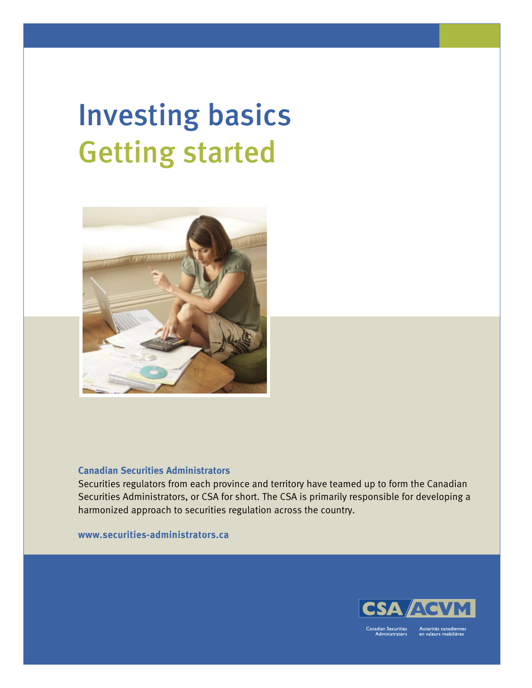# Investing basics Getting started



### **Canadian Securities Administrators**

Securities regulators from each province and territory have teamed up to form the Canadian [Securities Administrators, or CSA for short. The CSA is primarily responsible for developing a](http://www.securities-administrators.ca/)  harmonized approach to securities regulation across the country.

**www.securities-administrators.ca**



anadian Securities dministrators Autorités canadienne<br>en valeurs mobilières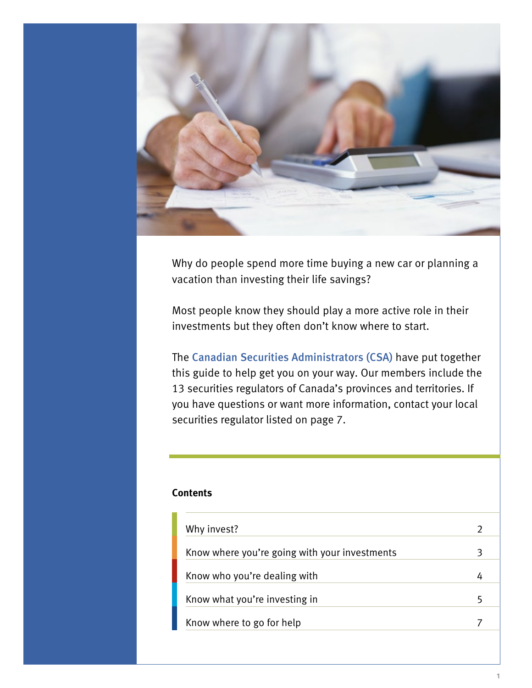

Why do people spend more time buying a new car or planning a vacation than investing their life savings?

Most people know they should play a more active role in their investments but they often don't know where to start.

The Canadian Securities Administrators (CSA) have put together this guide to help get you on your way. Our members include the 13 securities regulators of Canada's provinces and territories. If you have questions or want more information, contact your local [securities regulator listed on page 7.](#page-7-0)

### **Contents**

| Why invest?                                   |  |
|-----------------------------------------------|--|
| Know where you're going with your investments |  |
| Know who you're dealing with                  |  |
| Know what you're investing in                 |  |
| Know where to go for help                     |  |
|                                               |  |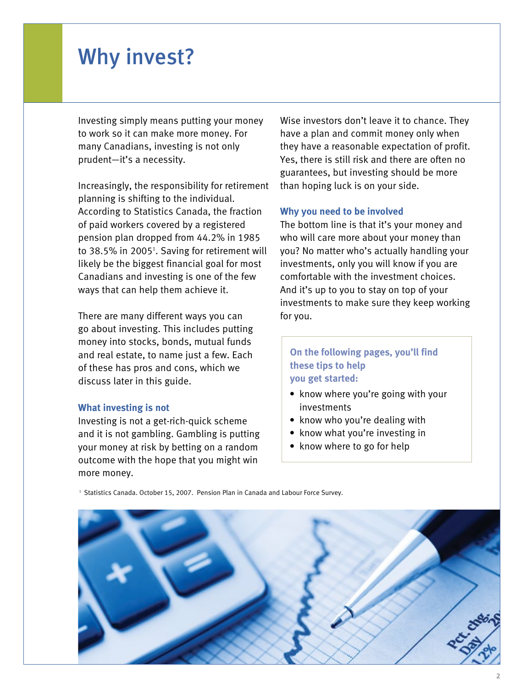# <span id="page-2-0"></span>Why invest?

Investing simply means putting your money to work so it can make more money. For many Canadians, investing is not only prudent—it's a necessity.

Increasingly, the responsibility for retirement planning is shifting to the individual. According to Statistics Canada, the fraction of paid workers covered by a registered pension plan dropped from 44.2% in 1985 to 38.5% in 2005<sup>1</sup>. Saving for retirement will likely be the biggest financial goal for most Canadians and investing is one of the few ways that can help them achieve it.

There are many different ways you can go about investing. This includes putting money into stocks, bonds, mutual funds and real estate, to name just a few. Each of these has pros and cons, which we discuss later in this guide.

#### **What investing is not**

Investing is not a get-rich-quick scheme and it is not gambling. Gambling is putting your money at risk by betting on a random outcome with the hope that you might win more money.

Wise investors don't leave it to chance. They have a plan and commit money only when they have a reasonable expectation of profit. Yes, there is still risk and there are often no guarantees, but investing should be more than hoping luck is on your side.

#### **Why you need to be involved**

The bottom line is that it's your money and who will care more about your money than you? No matter who's actually handling your investments, only you will know if you are comfortable with the investment choices. And it's up to you to stay on top of your investments to make sure they keep working for you.

# **On the following pages, you'll find these tips to help you get started:**

- know where you're going with your investments
- know who you're dealing with
- know what you're investing in
- know where to go for help

<sup>1</sup> Statistics Canada. October 15, 2007. Pension Plan in Canada and Labour Force Survey.

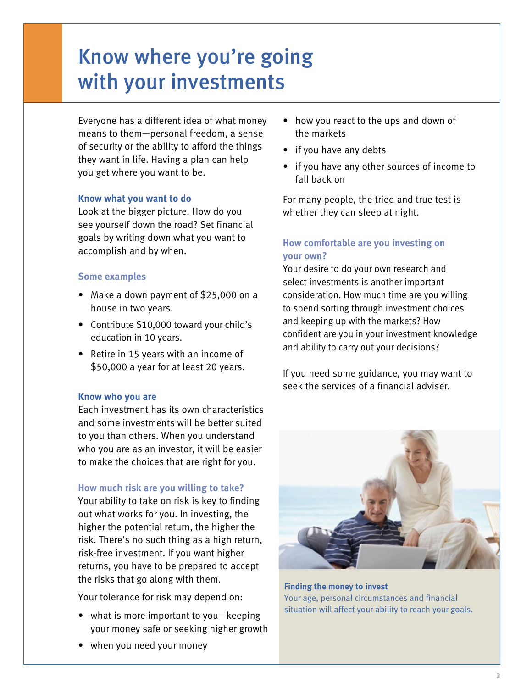# <span id="page-3-0"></span>Know where you're going with your investments

Everyone has a different idea of what money means to them—personal freedom, a sense of security or the ability to afford the things they want in life. Having a plan can help you get where you want to be.

# **Know what you want to do**

Look at the bigger picture. How do you see yourself down the road? Set financial goals by writing down what you want to accomplish and by when.

# **Some examples**

- Make a down payment of \$25,000 on a house in two years.
- Contribute \$10,000 toward your child's education in 10 years.
- Retire in 15 years with an income of \$50,000 a year for at least 20 years.

### **Know who you are**

Each investment has its own characteristics and some investments will be better suited to you than others. When you understand who you are as an investor, it will be easier to make the choices that are right for you.

# **How much risk are you willing to take?**

Your ability to take on risk is key to finding out what works for you. In investing, the higher the potential return, the higher the risk. There's no such thing as a high return, risk-free investment. If you want higher returns, you have to be prepared to accept the risks that go along with them.

Your tolerance for risk may depend on:

- what is more important to you—keeping your money safe or seeking higher growth
- when you need your money
- how you react to the ups and down of the markets
- if you have any debts
- if you have any other sources of income to fall back on

For many people, the tried and true test is whether they can sleep at night.

# **How comfortable are you investing on your own?**

Your desire to do your own research and select investments is another important consideration. How much time are you willing to spend sorting through investment choices and keeping up with the markets? How confident are you in your investment knowledge and ability to carry out your decisions?

If you need some guidance, you may want to seek the services of a financial adviser.



**Finding the money to invest** Your age, personal circumstances and financial situation will affect your ability to reach your goals.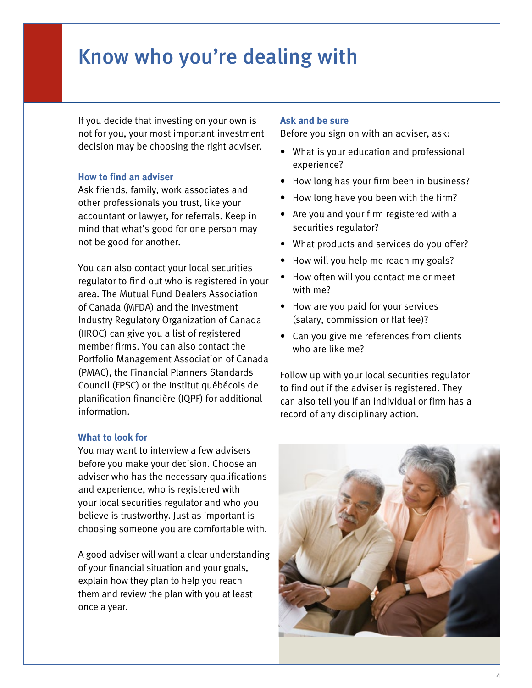# <span id="page-4-0"></span>Know who you're dealing with

If you decide that investing on your own is not for you, your most important investment decision may be choosing the right adviser.

### **How to find an adviser**

Ask friends, family, work associates and other professionals you trust, like your accountant or lawyer, for referrals. Keep in mind that what's good for one person may not be good for another.

You can also contact your local securities regulator to find out who is registered in your area. The Mutual Fund Dealers Association of Canada (MFDA) and the Investment Industry Regulatory Organization of Canada (IIROC) can give you a list of registered member firms. You can also contact the Portfolio Management Association of Canada (PMAC), the Financial Planners Standards Council (FPSC) or the Institut québécois de planification financière (IQPF) for additional information.

#### **What to look for**

You may want to interview a few advisers before you make your decision. Choose an adviser who has the necessary qualifications and experience, who is registered with your local securities regulator and who you believe is trustworthy. Just as important is choosing someone you are comfortable with.

A good adviser will want a clear understanding of your financial situation and your goals, explain how they plan to help you reach them and review the plan with you at least once a year.

#### **Ask and be sure**

Before you sign on with an adviser, ask:

- What is your education and professional experience?
- How long has your firm been in business?
- How long have you been with the firm?
- Are you and your firm registered with a securities regulator?
- What products and services do you offer?
- How will you help me reach my goals?
- How often will you contact me or meet with me?
- How are you paid for your services (salary, commission or flat fee)?
- Can you give me references from clients who are like me?

Follow up with your local securities regulator to find out if the adviser is registered. They can also tell you if an individual or firm has a record of any disciplinary action.

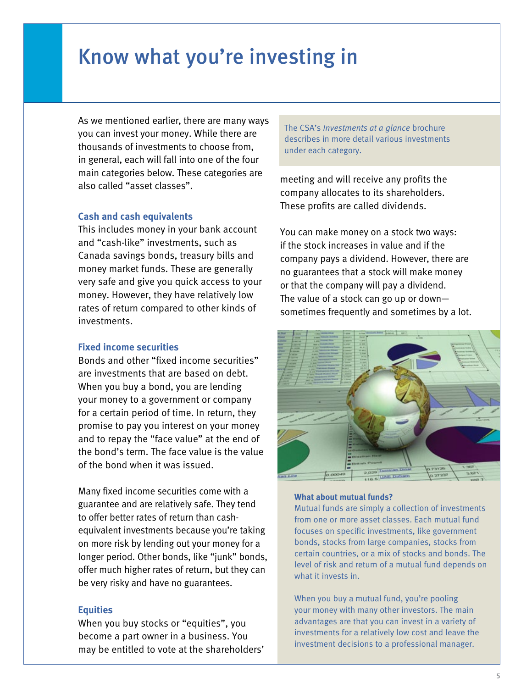# <span id="page-5-0"></span>Know what you're investing in

As we mentioned earlier, there are many ways you can invest your money. While there are thousands of investments to choose from, in general, each will fall into one of the four main categories below. These categories are also called "asset classes".

#### **Cash and cash equivalents**

This includes money in your bank account and "cash-like" investments, such as Canada savings bonds, treasury bills and money market funds. These are generally very safe and give you quick access to your money. However, they have relatively low rates of return compared to other kinds of investments.

#### **Fixed income securities**

Bonds and other "fixed income securities" are investments that are based on debt. When you buy a bond, you are lending your money to a government or company for a certain period of time. In return, they promise to pay you interest on your money and to repay the "face value" at the end of the bond's term. The face value is the value of the bond when it was issued.

Many fixed income securities come with a guarantee and are relatively safe. They tend to offer better rates of return than cashequivalent investments because you're taking on more risk by lending out your money for a longer period. Other bonds, like "junk" bonds, offer much higher rates of return, but they can be very risky and have no guarantees.

#### **Equities**

When you buy stocks or "equities", you become a part owner in a business. You may be entitled to vote at the shareholders' The CSA's *Investments at a glance* brochure describes in more detail various investments under each category.

meeting and will receive any profits the company allocates to its shareholders. These profits are called dividends.

You can make money on a stock two ways: if the stock increases in value and if the company pays a dividend. However, there are no guarantees that a stock will make money or that the company will pay a dividend. The value of a stock can go up or down sometimes frequently and sometimes by a lot.



#### **What about mutual funds?**

Mutual funds are simply a collection of investments from one or more asset classes. Each mutual fund focuses on specific investments, like government bonds, stocks from large companies, stocks from certain countries, or a mix of stocks and bonds. The level of risk and return of a mutual fund depends on what it invests in.

When you buy a mutual fund, you're pooling your money with many other investors. The main advantages are that you can invest in a variety of investments for a relatively low cost and leave the investment decisions to a professional manager.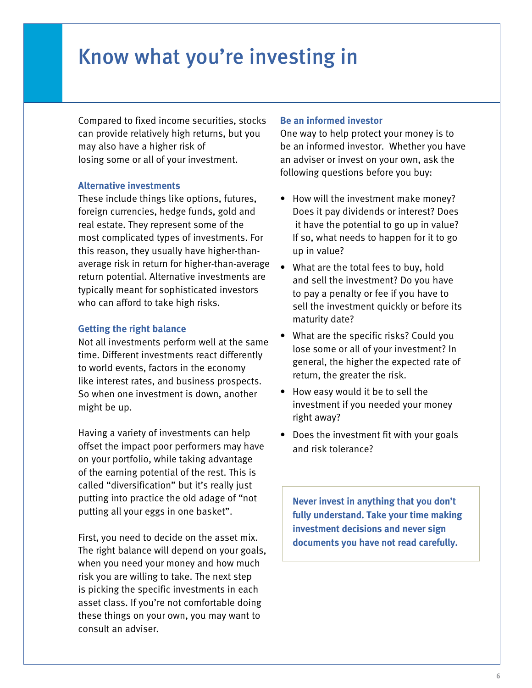# Know what you're investing in

Compared to fixed income securities, stocks can provide relatively high returns, but you may also have a higher risk of losing some or all of your investment.

### **Alternative investments**

These include things like options, futures, foreign currencies, hedge funds, gold and real estate. They represent some of the most complicated types of investments. For this reason, they usually have higher-thanaverage risk in return for higher-than-average return potential. Alternative investments are typically meant for sophisticated investors who can afford to take high risks.

#### **Getting the right balance**

Not all investments perform well at the same time. Different investments react differently to world events, factors in the economy like interest rates, and business prospects. So when one investment is down, another might be up.

Having a variety of investments can help offset the impact poor performers may have on your portfolio, while taking advantage of the earning potential of the rest. This is called "diversification" but it's really just putting into practice the old adage of "not putting all your eggs in one basket".

First, you need to decide on the asset mix. The right balance will depend on your goals, when you need your money and how much risk you are willing to take. The next step is picking the specific investments in each asset class. If you're not comfortable doing these things on your own, you may want to consult an adviser.

### **Be an informed investor**

One way to help protect your money is to be an informed investor. Whether you have an adviser or invest on your own, ask the following questions before you buy:

- How will the investment make money? Does it pay dividends or interest? Does it have the potential to go up in value? If so, what needs to happen for it to go up in value?
- What are the total fees to buy, hold and sell the investment? Do you have to pay a penalty or fee if you have to sell the investment quickly or before its maturity date?
- What are the specific risks? Could you lose some or all of your investment? In general, the higher the expected rate of return, the greater the risk.
- How easy would it be to sell the investment if you needed your money right away?
- Does the investment fit with your goals and risk tolerance?

**Never invest in anything that you don't fully understand. Take your time making investment decisions and never sign documents you have not read carefully.**